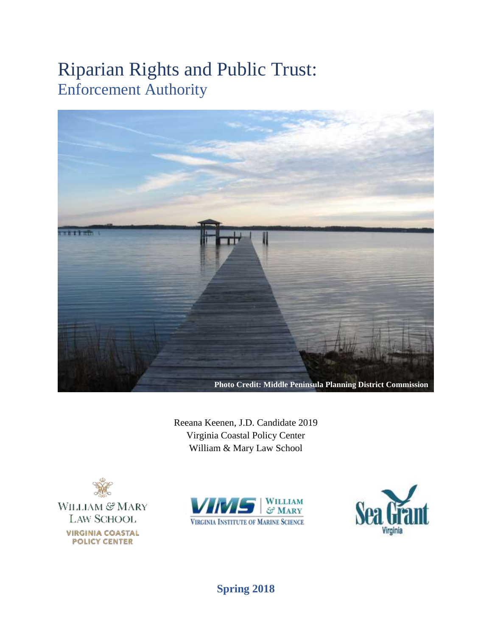# Riparian Rights and Public Trust: Enforcement Authority



Reeana Keenen, J.D. Candidate 2019 Virginia Coastal Policy Center William & Mary Law School







# **Spring 2018**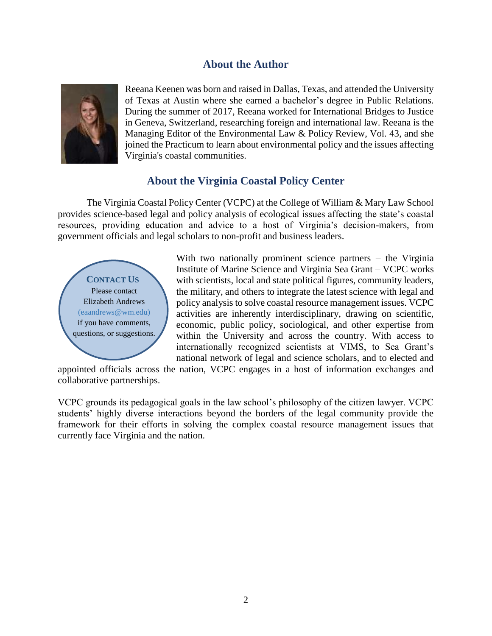# **About the Author**



Reeana Keenen was born and raised in Dallas, Texas, and attended the University of Texas at Austin where she earned a bachelor's degree in Public Relations. During the summer of 2017, Reeana worked for International Bridges to Justice in Geneva, Switzerland, researching foreign and international law. Reeana is the Managing Editor of the Environmental Law & Policy Review, Vol. 43, and she joined the Practicum to learn about environmental policy and the issues affecting Virginia's coastal communities.

# **About the Virginia Coastal Policy Center**

The Virginia Coastal Policy Center (VCPC) at the College of William & Mary Law School provides science-based legal and policy analysis of ecological issues affecting the state's coastal resources, providing education and advice to a host of Virginia's decision-makers, from government officials and legal scholars to non-profit and business leaders.



With two nationally prominent science partners – the Virginia Institute of Marine Science and Virginia Sea Grant – VCPC works with scientists, local and state political figures, community leaders, the military, and others to integrate the latest science with legal and policy analysis to solve coastal resource management issues. VCPC activities are inherently interdisciplinary, drawing on scientific, economic, public policy, sociological, and other expertise from within the University and across the country. With access to internationally recognized scientists at VIMS, to Sea Grant's national network of legal and science scholars, and to elected and

appointed officials across the nation, VCPC engages in a host of information exchanges and collaborative partnerships.

VCPC grounds its pedagogical goals in the law school's philosophy of the citizen lawyer. VCPC students' highly diverse interactions beyond the borders of the legal community provide the framework for their efforts in solving the complex coastal resource management issues that currently face Virginia and the nation.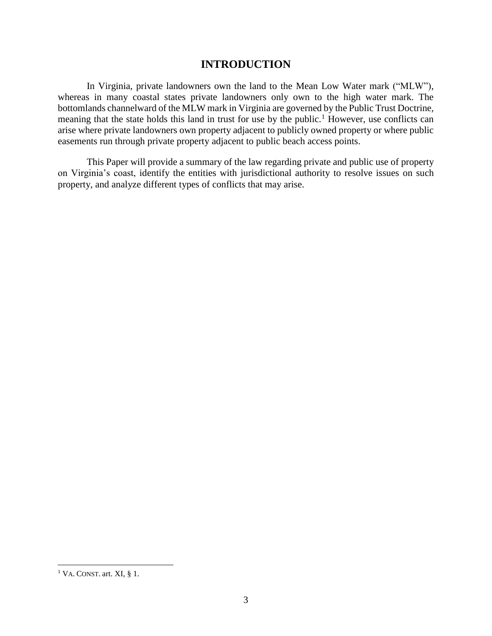## **INTRODUCTION**

In Virginia, private landowners own the land to the Mean Low Water mark ("MLW"), whereas in many coastal states private landowners only own to the high water mark. The bottomlands channelward of the MLW mark in Virginia are governed by the Public Trust Doctrine, meaning that the state holds this land in trust for use by the public.<sup>1</sup> However, use conflicts can arise where private landowners own property adjacent to publicly owned property or where public easements run through private property adjacent to public beach access points.

This Paper will provide a summary of the law regarding private and public use of property on Virginia's coast, identify the entities with jurisdictional authority to resolve issues on such property, and analyze different types of conflicts that may arise.

 $1$  VA. CONST. art. XI, § 1.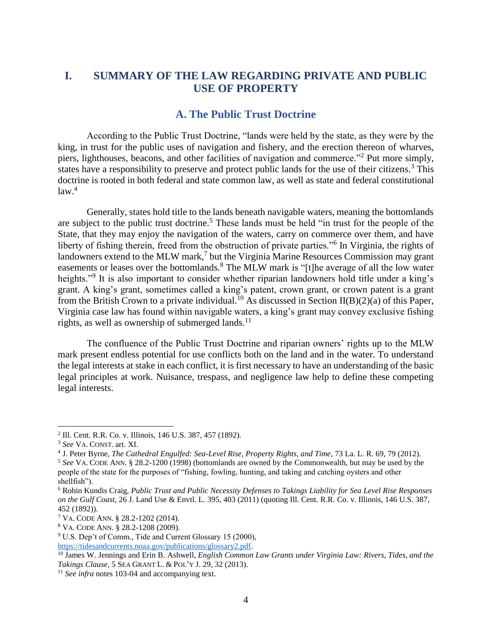# **I. SUMMARY OF THE LAW REGARDING PRIVATE AND PUBLIC USE OF PROPERTY**

# **A. The Public Trust Doctrine**

According to the Public Trust Doctrine, "lands were held by the state, as they were by the king, in trust for the public uses of navigation and fishery, and the erection thereon of wharves, piers, lighthouses, beacons, and other facilities of navigation and commerce."<sup>2</sup> Put more simply, states have a responsibility to preserve and protect public lands for the use of their citizens.<sup>3</sup> This doctrine is rooted in both federal and state common law, as well as state and federal constitutional law. 4

Generally, states hold title to the lands beneath navigable waters, meaning the bottomlands are subject to the public trust doctrine.<sup>5</sup> These lands must be held "in trust for the people of the State, that they may enjoy the navigation of the waters, carry on commerce over them, and have liberty of fishing therein, freed from the obstruction of private parties."<sup>6</sup> In Virginia, the rights of landowners extend to the MLW mark,<sup>7</sup> but the Virginia Marine Resources Commission may grant easements or leases over the bottomlands.<sup>8</sup> The MLW mark is "[t]he average of all the low water heights."<sup>9</sup> It is also important to consider whether riparian landowners hold title under a king's grant. A king's grant, sometimes called a king's patent, crown grant, or crown patent is a grant from the British Crown to a private individual.<sup>10</sup> As discussed in Section II(B)(2)(a) of this Paper, Virginia case law has found within navigable waters, a king's grant may convey exclusive fishing rights, as well as ownership of submerged lands. $^{11}$ 

The confluence of the Public Trust Doctrine and riparian owners' rights up to the MLW mark present endless potential for use conflicts both on the land and in the water. To understand the legal interests at stake in each conflict, it is first necessary to have an understanding of the basic legal principles at work. Nuisance, trespass, and negligence law help to define these competing legal interests.

<sup>2</sup> Ill. Cent. R.R. Co. v. Illinois, 146 U.S. 387, 457 (1892).

<sup>3</sup> *See* VA. CONST. art. XI.

<sup>4</sup> J. Peter Byrne, *The Cathedral Engulfed: Sea-Level Rise, Property Rights, and Time*, 73 La. L. R. 69, 79 (2012).

<sup>5</sup> *See* VA. CODE ANN. § 28.2-1200 (1998) (bottomlands are owned by the Commonwealth, but may be used by the people of the state for the purposes of "fishing, fowling, hunting, and taking and catching oysters and other shellfish").

<sup>6</sup> Robin Kundis Craig, *Public Trust and Public Necessity Defenses to Takings Liability for Sea Level Rise Responses on the Gulf Coast*, 26 J. Land Use & Envtl. L. 395, 403 (2011) (quoting Ill. Cent. R.R. Co. v. Illinois, 146 U.S. 387, 452 (1892)).

<sup>7</sup> VA. CODE ANN. § 28.2-1202 (2014).

<sup>8</sup> VA. CODE ANN. § 28.2-1208 (2009).

<sup>9</sup> U.S. Dep't of Comm., Tide and Current Glossary 15 (2000),

[https://tidesandcurrents.noaa.gov/publications/glossary2.pdf.](https://tidesandcurrents.noaa.gov/publications/glossary2.pdf)

<sup>10</sup> James W. Jennings and Erin B. Ashwell, *English Common Law Grants under Virginia Law: Rivers, Tides, and the Takings Clause*, 5 SEA GRANT L. & POL'Y J. 29, 32 (2013).

<sup>11</sup> *See infra* notes 103-04 and accompanying text.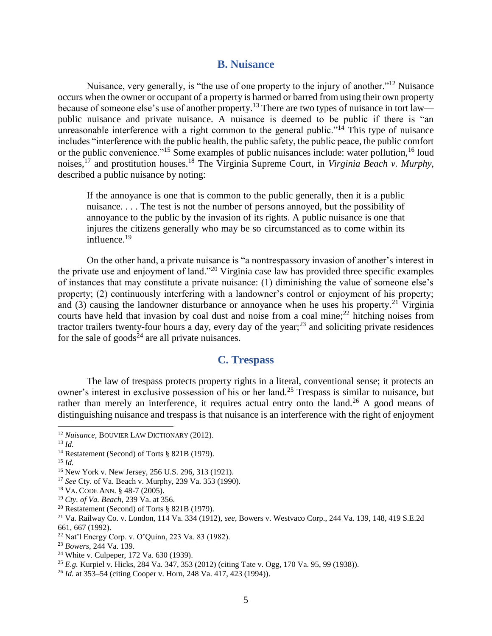#### **B. Nuisance**

Nuisance, very generally, is "the use of one property to the injury of another."<sup>12</sup> Nuisance occurs when the owner or occupant of a property is harmed or barred from using their own property because of someone else's use of another property.<sup>13</sup> There are two types of nuisance in tort law public nuisance and private nuisance. A nuisance is deemed to be public if there is "an unreasonable interference with a right common to the general public."<sup>14</sup> This type of nuisance includes "interference with the public health, the public safety, the public peace, the public comfort or the public convenience."<sup>15</sup> Some examples of public nuisances include: water pollution,<sup>16</sup> loud noises,<sup>17</sup> and prostitution houses.<sup>18</sup> The Virginia Supreme Court, in *Virginia Beach v. Murphy*, described a public nuisance by noting:

If the annoyance is one that is common to the public generally, then it is a public nuisance. . . . The test is not the number of persons annoyed, but the possibility of annoyance to the public by the invasion of its rights. A public nuisance is one that injures the citizens generally who may be so circumstanced as to come within its influence.<sup>19</sup>

On the other hand, a private nuisance is "a nontrespassory invasion of another's interest in the private use and enjoyment of land."<sup>20</sup> Virginia case law has provided three specific examples of instances that may constitute a private nuisance: (1) diminishing the value of someone else's property; (2) continuously interfering with a landowner's control or enjoyment of his property; and  $(3)$  causing the landowner disturbance or annoyance when he uses his property.<sup>21</sup> Virginia courts have held that invasion by coal dust and noise from a coal mine;<sup>22</sup> hitching noises from tractor trailers twenty-four hours a day, every day of the year; <sup>23</sup> and soliciting private residences for the sale of goods<sup> $24$ </sup> are all private nuisances.

## **C. Trespass**

The law of trespass protects property rights in a literal, conventional sense; it protects an owner's interest in exclusive possession of his or her land.<sup>25</sup> Trespass is similar to nuisance, but rather than merely an interference, it requires actual entry onto the land.<sup>26</sup> A good means of distinguishing nuisance and trespass is that nuisance is an interference with the right of enjoyment

<sup>12</sup> *Nuisance*, BOUVIER LAW DICTIONARY (2012).

<sup>13</sup> *Id.*

<sup>14</sup> Restatement (Second) of Torts § 821B (1979).

<sup>15</sup> *Id.*

<sup>16</sup> New York v. New Jersey, 256 U.S. 296, 313 (1921).

<sup>17</sup> *See* Cty. of Va. Beach v. Murphy, 239 Va. 353 (1990).

<sup>18</sup> VA. CODE ANN. § 48-7 (2005).

<sup>19</sup> *Cty. of Va. Beach*, 239 Va. at 356.

<sup>20</sup> Restatement (Second) of Torts § 821B (1979).

<sup>21</sup> Va. Railway Co. v. London, 114 Va. 334 (1912), *see,* Bowers v. Westvaco Corp., 244 Va. 139, 148, 419 S.E.2d 661, 667 (1992).

<sup>22</sup> Nat'l Energy Corp. v. O'Quinn, 223 Va. 83 (1982).

<sup>23</sup> *Bowers*, 244 Va. 139.

<sup>24</sup> White v. Culpeper, 172 Va. 630 (1939).

<sup>25</sup> *E.g.* Kurpiel v. Hicks, 284 Va. 347, 353 (2012) (citing Tate v. Ogg*,* 170 Va. 95, 99 (1938)).

<sup>26</sup> *Id.* at 353–54 (citing Cooper v. Horn, 248 Va. 417, 423 (1994)).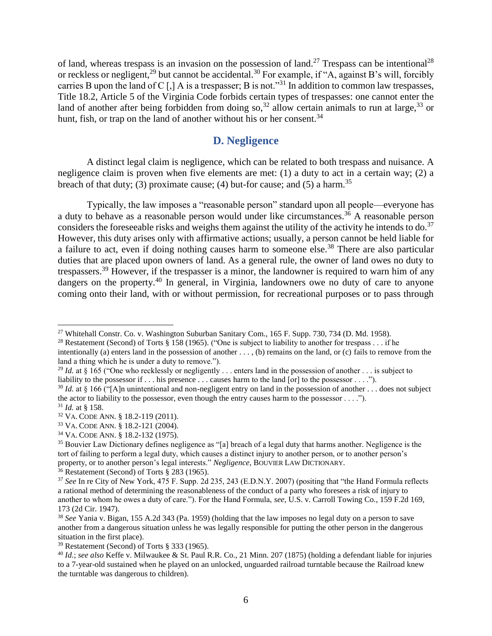of land, whereas trespass is an invasion on the possession of land.<sup>27</sup> Trespass can be intentional<sup>28</sup> or reckless or negligent,<sup>29</sup> but cannot be accidental.<sup>30</sup> For example, if "A, against B's will, forcibly carries B upon the land of C  $\lceil$ ,  $\rceil$  A is a trespasser; B is not.<sup>331</sup> In addition to common law trespasses, Title 18.2, Article 5 of the Virginia Code forbids certain types of trespasses: one cannot enter the land of another after being forbidden from doing so,<sup>32</sup> allow certain animals to run at large,<sup>33</sup> or hunt, fish, or trap on the land of another without his or her consent.<sup>34</sup>

## **D. Negligence**

A distinct legal claim is negligence, which can be related to both trespass and nuisance. A negligence claim is proven when five elements are met: (1) a duty to act in a certain way; (2) a breach of that duty; (3) proximate cause; (4) but-for cause; and (5) a harm.<sup>35</sup>

Typically, the law imposes a "reasonable person" standard upon all people—everyone has a duty to behave as a reasonable person would under like circumstances.<sup>36</sup> A reasonable person considers the foreseeable risks and weighs them against the utility of the activity he intends to do.<sup>37</sup> However, this duty arises only with affirmative actions; usually, a person cannot be held liable for a failure to act, even if doing nothing causes harm to someone else.<sup>38</sup> There are also particular duties that are placed upon owners of land. As a general rule, the owner of land owes no duty to trespassers.<sup>39</sup> However, if the trespasser is a minor, the landowner is required to warn him of any dangers on the property.<sup>40</sup> In general, in Virginia, landowners owe no duty of care to anyone coming onto their land, with or without permission, for recreational purposes or to pass through

<sup>&</sup>lt;sup>27</sup> Whitehall Constr. Co. v. Washington Suburban Sanitary Com., 165 F. Supp. 730, 734 (D. Md. 1958).

<sup>&</sup>lt;sup>28</sup> Restatement (Second) of Torts § 158 (1965). ("One is subject to liability to another for trespass . . . if he

intentionally (a) enters land in the possession of another  $\dots$ , (b) remains on the land, or (c) fails to remove from the land a thing which he is under a duty to remove.").

<sup>&</sup>lt;sup>29</sup> *Id.* at § 165 ("One who recklessly or negligently  $\ldots$  enters land in the possession of another  $\ldots$  is subject to liability to the possessor if . . . his presence . . . causes harm to the land [or] to the possessor . . . .").

<sup>&</sup>lt;sup>30</sup> *Id.* at § 166 ("[A]n unintentional and non-negligent entry on land in the possession of another . . . does not subject the actor to liability to the possessor, even though the entry causes harm to the possessor . . . .").

<sup>31</sup> *Id.* at § 158.

<sup>32</sup> VA. CODE ANN. § 18.2-119 (2011).

<sup>33</sup> VA. CODE ANN. § 18.2-121 (2004).

<sup>34</sup> VA. CODE ANN. § 18.2-132 (1975).

<sup>35</sup> Bouvier Law Dictionary defines negligence as "[a] breach of a legal duty that harms another. Negligence is the tort of failing to perform a legal duty, which causes a distinct injury to another person, or to another person's property, or to another person's legal interests." *Negligence*, BOUVIER LAW DICTIONARY.

 $36$  Restatement (Second) of Torts § 283 (1965).

<sup>37</sup> *See* In re City of New York, 475 F. Supp. 2d 235, 243 (E.D.N.Y. 2007) (positing that "the Hand Formula reflects a rational method of determining the reasonableness of the conduct of a party who foresees a risk of injury to another to whom he owes a duty of care."). For the Hand Formula, *see*, U.S. v. Carroll Towing Co*.*, 159 F.2d 169, 173 (2d Cir. 1947).

<sup>38</sup> *See* Yania v. Bigan, 155 A.2d 343 (Pa. 1959) (holding that the law imposes no legal duty on a person to save another from a dangerous situation unless he was legally responsible for putting the other person in the dangerous situation in the first place).

<sup>39</sup> Restatement (Second) of Torts § 333 (1965).

<sup>40</sup> *Id.*; *see also* Keffe v. Milwaukee & St. Paul R.R. Co., 21 Minn. 207 (1875) (holding a defendant liable for injuries to a 7-year-old sustained when he played on an unlocked, unguarded railroad turntable because the Railroad knew the turntable was dangerous to children).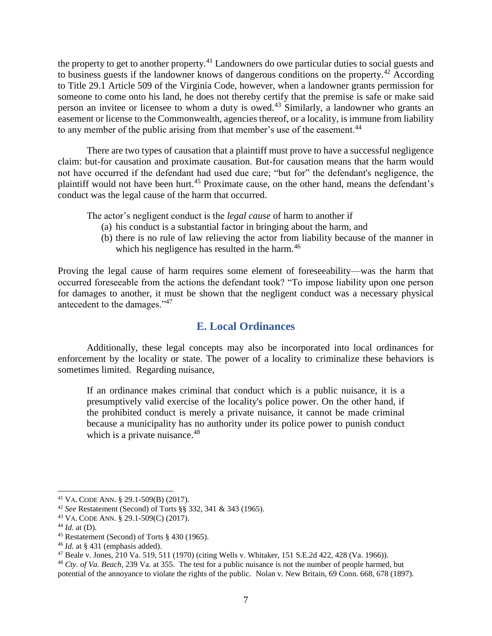the property to get to another property.<sup>41</sup> Landowners do owe particular duties to social guests and to business guests if the landowner knows of dangerous conditions on the property.<sup>42</sup> According to Title 29.1 Article 509 of the Virginia Code, however, when a landowner grants permission for someone to come onto his land, he does not thereby certify that the premise is safe or make said person an invitee or licensee to whom a duty is owed.<sup>43</sup> Similarly, a landowner who grants an easement or license to the Commonwealth, agencies thereof, or a locality, is immune from liability to any member of the public arising from that member's use of the easement.<sup>44</sup>

There are two types of causation that a plaintiff must prove to have a successful negligence claim: but-for causation and proximate causation. But-for causation means that the harm would not have occurred if the defendant had used due care; "but for" the defendant's negligence, the plaintiff would not have been hurt.<sup>45</sup> Proximate cause, on the other hand, means the defendant's conduct was the legal cause of the harm that occurred.

The actor's negligent conduct is the *legal cause* of harm to another if

- (a) his conduct is a substantial factor in bringing about the harm, and
- (b) there is no rule of law relieving the actor from liability because of the manner in which his negligence has resulted in the harm.<sup>46</sup>

Proving the legal cause of harm requires some element of foreseeability—was the harm that occurred foreseeable from the actions the defendant took? "To impose liability upon one person for damages to another, it must be shown that the negligent conduct was a necessary physical antecedent to the damages."<sup>47</sup>

# **E. Local Ordinances**

Additionally, these legal concepts may also be incorporated into local ordinances for enforcement by the locality or state. The power of a locality to criminalize these behaviors is sometimes limited. Regarding nuisance,

If an ordinance makes criminal that conduct which is a public nuisance, it is a presumptively valid exercise of the locality's police power. On the other hand, if the prohibited conduct is merely a private nuisance, it cannot be made criminal because a municipality has no authority under its police power to punish conduct which is a private nuisance.<sup>48</sup>

<sup>41</sup> VA. CODE ANN. § 29.1-509(B) (2017).

<sup>42</sup> *See* Restatement (Second) of Torts §§ 332, 341 & 343 (1965).

<sup>43</sup> VA. CODE ANN. § 29.1-509(C) (2017).

 $44$  *Id.* at (D).

<sup>45</sup> Restatement (Second) of Torts § 430 (1965).

<sup>46</sup> *Id.* at § 431 (emphasis added).

<sup>47</sup> Beale v. Jones, 210 Va. 519, 511 (1970) (citing Wells v. Whitaker, 151 S.E.2d 422, 428 (Va. 1966)).

<sup>48</sup> *Cty. of Va. Beach*, 239 Va. at 355. The test for a public nuisance is not the number of people harmed, but potential of the annoyance to violate the rights of the public. Nolan v. New Britain, 69 Conn. 668, 678 (1897).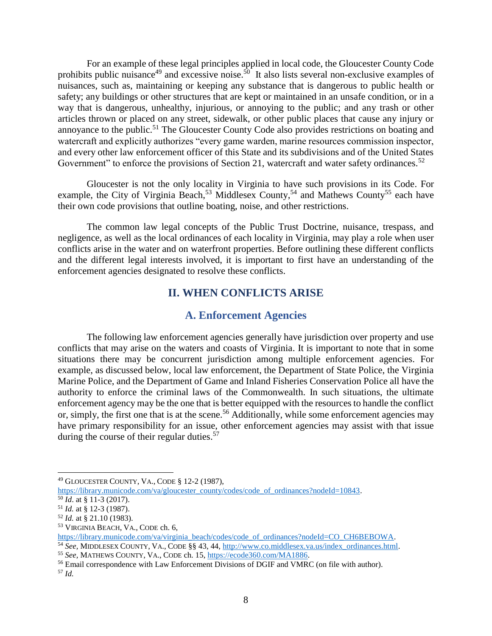For an example of these legal principles applied in local code, the Gloucester County Code prohibits public nuisance<sup>49</sup> and excessive noise.<sup>50</sup> It also lists several non-exclusive examples of nuisances, such as, maintaining or keeping any substance that is dangerous to public health or safety; any buildings or other structures that are kept or maintained in an unsafe condition, or in a way that is dangerous, unhealthy, injurious, or annoying to the public; and any trash or other articles thrown or placed on any street, sidewalk, or other public places that cause any injury or annoyance to the public.<sup>51</sup> The Gloucester County Code also provides restrictions on boating and watercraft and explicitly authorizes "every game warden, marine resources commission inspector, and every other law enforcement officer of this State and its subdivisions and of the United States Government" to enforce the provisions of Section 21, watercraft and water safety ordinances.<sup>52</sup>

Gloucester is not the only locality in Virginia to have such provisions in its Code. For example, the City of Virginia Beach,<sup>53</sup> Middlesex County,<sup>54</sup> and Mathews County<sup>55</sup> each have their own code provisions that outline boating, noise, and other restrictions.

The common law legal concepts of the Public Trust Doctrine, nuisance, trespass, and negligence, as well as the local ordinances of each locality in Virginia, may play a role when user conflicts arise in the water and on waterfront properties. Before outlining these different conflicts and the different legal interests involved, it is important to first have an understanding of the enforcement agencies designated to resolve these conflicts.

## **II. WHEN CONFLICTS ARISE**

## **A. Enforcement Agencies**

The following law enforcement agencies generally have jurisdiction over property and use conflicts that may arise on the waters and coasts of Virginia. It is important to note that in some situations there may be concurrent jurisdiction among multiple enforcement agencies. For example, as discussed below, local law enforcement, the Department of State Police, the Virginia Marine Police, and the Department of Game and Inland Fisheries Conservation Police all have the authority to enforce the criminal laws of the Commonwealth. In such situations, the ultimate enforcement agency may be the one that is better equipped with the resources to handle the conflict or, simply, the first one that is at the scene.<sup>56</sup> Additionally, while some enforcement agencies may have primary responsibility for an issue, other enforcement agencies may assist with that issue during the course of their regular duties.<sup>57</sup>

<sup>49</sup> GLOUCESTER COUNTY, VA., CODE § 12-2 (1987),

[https://library.municode.com/va/gloucester\\_county/codes/code\\_of\\_ordinances?nodeId=10843.](https://library.municode.com/va/gloucester_county/codes/code_of_ordinances?nodeId=10843)

<sup>50</sup> *Id*. at § 11-3 (2017).

<sup>51</sup> *Id.* at § 12-3 (1987).

<sup>52</sup> *Id.* at § 21.10 (1983).

<sup>53</sup> VIRGINIA BEACH, VA., CODE ch. 6,

[https://library.municode.com/va/virginia\\_beach/codes/code\\_of\\_ordinances?nodeId=CO\\_CH6BEBOWA.](https://library.municode.com/va/virginia_beach/codes/code_of_ordinances?nodeId=CO_CH6BEBOWA)

<sup>54</sup> *See,* MIDDLESEX COUNTY, VA., CODE §§ 43, 44, [http://www.co.middlesex.va.us/index\\_ordinances.html.](http://www.co.middlesex.va.us/index_ordinances.html)

<sup>55</sup> *See,* MATHEWS COUNTY, VA., CODE ch. 15, [https://ecode360.com/MA1886.](https://ecode360.com/MA1886)

<sup>56</sup> Email correspondence with Law Enforcement Divisions of DGIF and VMRC (on file with author).

<sup>57</sup> *Id.*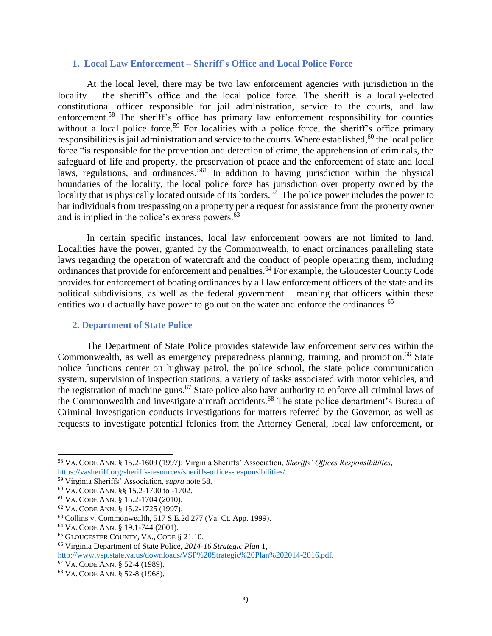#### **1. Local Law Enforcement – Sheriff's Office and Local Police Force**

At the local level, there may be two law enforcement agencies with jurisdiction in the locality – the sheriff's office and the local police force. The sheriff is a locally-elected constitutional officer responsible for jail administration, service to the courts, and law enforcement.<sup>58</sup> The sheriff's office has primary law enforcement responsibility for counties without a local police force.<sup>59</sup> For localities with a police force, the sheriff's office primary responsibilities is jail administration and service to the courts. Where established, $60$  the local police force "is responsible for the prevention and detection of crime, the apprehension of criminals, the safeguard of life and property, the preservation of peace and the enforcement of state and local laws, regulations, and ordinances.<sup>761</sup> In addition to having jurisdiction within the physical boundaries of the locality, the local police force has jurisdiction over property owned by the locality that is physically located outside of its borders.<sup>62</sup> The police power includes the power to bar individuals from trespassing on a property per a request for assistance from the property owner and is implied in the police's express powers. $63$ 

In certain specific instances, local law enforcement powers are not limited to land. Localities have the power, granted by the Commonwealth, to enact ordinances paralleling state laws regarding the operation of watercraft and the conduct of people operating them, including ordinances that provide for enforcement and penalties.<sup>64</sup> For example, the Gloucester County Code provides for enforcement of boating ordinances by all law enforcement officers of the state and its political subdivisions, as well as the federal government – meaning that officers within these entities would actually have power to go out on the water and enforce the ordinances.<sup>65</sup>

#### **2. Department of State Police**

The Department of State Police provides statewide law enforcement services within the Commonwealth, as well as emergency preparedness planning, training, and promotion.<sup>66</sup> State police functions center on highway patrol, the police school, the state police communication system, supervision of inspection stations, a variety of tasks associated with motor vehicles, and the registration of machine guns.<sup>67</sup> State police also have authority to enforce all criminal laws of the Commonwealth and investigate aircraft accidents.<sup>68</sup> The state police department's Bureau of Criminal Investigation conducts investigations for matters referred by the Governor, as well as requests to investigate potential felonies from the Attorney General, local law enforcement, or

<sup>58</sup> VA. CODE ANN. § 15.2-1609 (1997); Virginia Sheriffs' Association, *Sheriffs' Offices Responsibilities*, [https://vasheriff.org/sheriffs-resources/sheriffs-offices-responsibilities/.](https://vasheriff.org/sheriffs-resources/sheriffs-offices-responsibilities/)

<sup>59</sup> Virginia Sheriffs' Association, *supra* note 58.

<sup>60</sup> VA. CODE ANN. §§ 15.2-1700 to -1702.

<sup>61</sup> VA. CODE ANN. § 15.2-1704 (2010).

<sup>62</sup> VA. CODE ANN. § 15.2-1725 (1997).

<sup>63</sup> Collins v. Commonwealth, 517 S.E.2d 277 (Va. Ct. App. 1999).

<sup>64</sup> VA. CODE ANN. § 19.1-744 (2001).

<sup>65</sup> GLOUCESTER COUNTY, VA., CODE § 21.10.

<sup>66</sup> Virginia Department of State Police, *2014-16 Strategic Plan* 1,

[http://www.vsp.state.va.us/downloads/VSP%20Strategic%20Plan%202014-2016.pdf.](http://www.vsp.state.va.us/downloads/VSP%20Strategic%20Plan%202014-2016.pdf)

<sup>67</sup> VA. CODE ANN. § 52-4 (1989).

<sup>68</sup> VA. CODE ANN. § 52-8 (1968).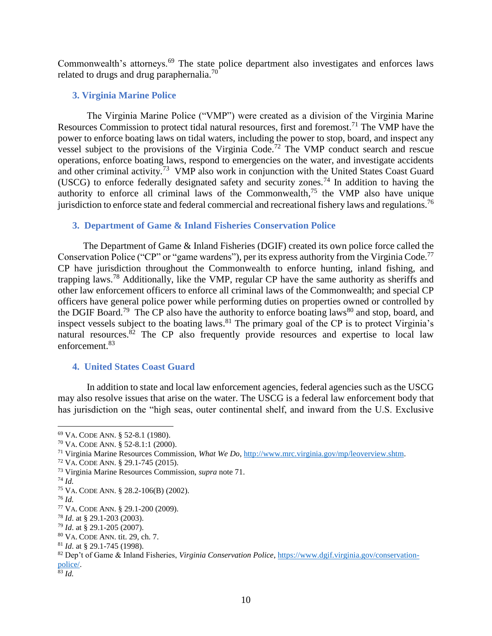Commonwealth's attorneys.<sup>69</sup> The state police department also investigates and enforces laws related to drugs and drug paraphernalia.<sup>70</sup>

## **3. Virginia Marine Police**

The Virginia Marine Police ("VMP") were created as a division of the Virginia Marine Resources Commission to protect tidal natural resources, first and foremost.<sup>71</sup> The VMP have the power to enforce boating laws on tidal waters, including the power to stop, board, and inspect any vessel subject to the provisions of the Virginia Code.<sup>72</sup> The VMP conduct search and rescue operations, enforce boating laws, respond to emergencies on the water, and investigate accidents and other criminal activity.<sup>73</sup> VMP also work in conjunction with the United States Coast Guard (USCG) to enforce federally designated safety and security zones.<sup>74</sup> In addition to having the authority to enforce all criminal laws of the Commonwealth, $75$  the VMP also have unique jurisdiction to enforce state and federal commercial and recreational fishery laws and regulations.<sup>76</sup>

## **3. Department of Game & Inland Fisheries Conservation Police**

The Department of Game & Inland Fisheries (DGIF) created its own police force called the Conservation Police ("CP" or "game wardens"), per its express authority from the Virginia Code.<sup>77</sup> CP have jurisdiction throughout the Commonwealth to enforce hunting, inland fishing, and trapping laws.<sup>78</sup> Additionally, like the VMP, regular CP have the same authority as sheriffs and other law enforcement officers to enforce all criminal laws of the Commonwealth; and special CP officers have general police power while performing duties on properties owned or controlled by the DGIF Board.<sup>79</sup> The CP also have the authority to enforce boating laws<sup>80</sup> and stop, board, and inspect vessels subject to the boating laws. <sup>81</sup> The primary goal of the CP is to protect Virginia's natural resources.<sup>82</sup> The CP also frequently provide resources and expertise to local law enforcement.<sup>83</sup>

## **4. United States Coast Guard**

In addition to state and local law enforcement agencies, federal agencies such as the USCG may also resolve issues that arise on the water. The USCG is a federal law enforcement body that has jurisdiction on the "high seas, outer continental shelf, and inward from the U.S. Exclusive

<sup>80</sup> VA. CODE ANN. tit. 29, ch. 7.

<sup>69</sup> VA. CODE ANN. § 52-8.1 (1980).

<sup>70</sup> VA. CODE ANN. § 52-8.1:1 (2000).

<sup>71</sup> Virginia Marine Resources Commission, *What We Do*, [http://www.mrc.virginia.gov/mp/leoverview.shtm.](http://www.mrc.virginia.gov/mp/leoverview.shtm)

<sup>72</sup> VA. CODE ANN. § 29.1-745 (2015).

<sup>73</sup> Virginia Marine Resources Commission, *supra* note 71.

<sup>74</sup> *Id.* 

<sup>75</sup> VA. CODE ANN. § 28.2-106(B) (2002).

<sup>76</sup> *Id.*

<sup>77</sup> VA. CODE ANN. § 29.1-200 (2009).

<sup>78</sup> *Id*. at § 29.1-203 (2003).

<sup>79</sup> *Id*. at § 29.1-205 (2007).

<sup>81</sup> *Id*. at § 29.1-745 (1998).

<sup>82</sup> Dep't of Game & Inland Fisheries, *Virginia Conservation Police*[, https://www.dgif.virginia.gov/conservation](https://www.dgif.virginia.gov/conservation-police/)[police/.](https://www.dgif.virginia.gov/conservation-police/)

<sup>83</sup> *Id.*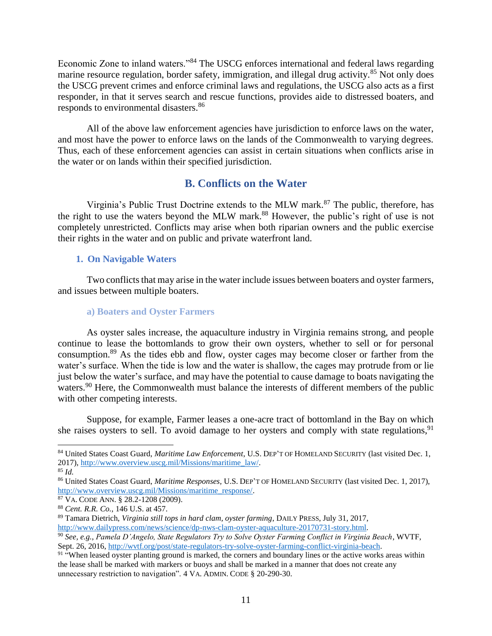Economic Zone to inland waters."<sup>84</sup> The USCG enforces international and federal laws regarding marine resource regulation, border safety, immigration, and illegal drug activity.<sup>85</sup> Not only does the USCG prevent crimes and enforce criminal laws and regulations, the USCG also acts as a first responder, in that it serves search and rescue functions, provides aide to distressed boaters, and responds to environmental disasters.<sup>86</sup>

All of the above law enforcement agencies have jurisdiction to enforce laws on the water, and most have the power to enforce laws on the lands of the Commonwealth to varying degrees. Thus, each of these enforcement agencies can assist in certain situations when conflicts arise in the water or on lands within their specified jurisdiction.

# **B. Conflicts on the Water**

Virginia's Public Trust Doctrine extends to the MLW mark. <sup>87</sup> The public, therefore, has the right to use the waters beyond the MLW mark. <sup>88</sup> However, the public's right of use is not completely unrestricted. Conflicts may arise when both riparian owners and the public exercise their rights in the water and on public and private waterfront land.

## **1. On Navigable Waters**

Two conflicts that may arise in the water include issues between boaters and oyster farmers, and issues between multiple boaters.

## **a) Boaters and Oyster Farmers**

As oyster sales increase, the aquaculture industry in Virginia remains strong, and people continue to lease the bottomlands to grow their own oysters, whether to sell or for personal consumption.<sup>89</sup> As the tides ebb and flow, oyster cages may become closer or farther from the water's surface. When the tide is low and the water is shallow, the cages may protrude from or lie just below the water's surface, and may have the potential to cause damage to boats navigating the waters.<sup>90</sup> Here, the Commonwealth must balance the interests of different members of the public with other competing interests.

Suppose, for example, Farmer leases a one-acre tract of bottomland in the Bay on which she raises oysters to sell. To avoid damage to her oysters and comply with state regulations,  $91$ 

<sup>84</sup> United States Coast Guard, *Maritime Law Enforcement*, U.S. DEP'T OF HOMELAND SECURITY (last visited Dec. 1, 2017), [http://www.overview.uscg.mil/Missions/maritime\\_law/.](http://www.overview.uscg.mil/Missions/maritime_law/)

<sup>85</sup> *Id.*

<sup>86</sup> United States Coast Guard, *Maritime Responses,* U.S. DEP'T OF HOMELAND SECURITY (last visited Dec. 1, 2017), [http://www.overview.uscg.mil/Missions/maritime\\_response/.](http://www.overview.uscg.mil/Missions/maritime_response/)

<sup>87</sup> VA. CODE ANN. § 28.2-1208 (2009).

<sup>88</sup> *Cent. R.R. Co.*, 146 U.S. at 457.

<sup>89</sup> Tamara Dietrich, *Virginia still tops in hard clam, oyster farming*, DAILY PRESS, July 31, 2017, [http://www.dailypress.com/news/science/dp-nws-clam-oyster-aquaculture-20170731-story.html.](http://www.dailypress.com/news/science/dp-nws-clam-oyster-aquaculture-20170731-story.html)

<sup>90</sup> *See, e.g.*, *Pamela D'Angelo, State Regulators Try to Solve Oyster Farming Conflict in Virginia Beach*, WVTF, Sept. 26, 2016, [http://wvtf.org/post/state-regulators-try-solve-oyster-farming-conflict-virginia-beach.](http://wvtf.org/post/state-regulators-try-solve-oyster-farming-conflict-virginia-beach)

<sup>&</sup>lt;sup>91</sup> "When leased oyster planting ground is marked, the corners and boundary lines or the active works areas within the lease shall be marked with markers or buoys and shall be marked in a manner that does not create any unnecessary restriction to navigation". 4 VA. ADMIN. CODE § 20-290-30.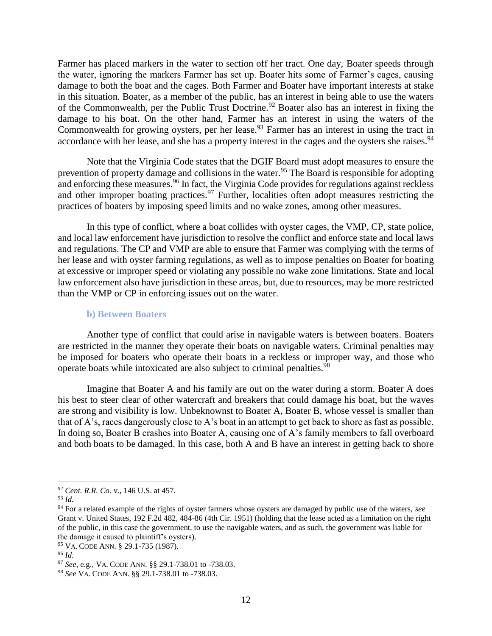Farmer has placed markers in the water to section off her tract. One day, Boater speeds through the water, ignoring the markers Farmer has set up. Boater hits some of Farmer's cages, causing damage to both the boat and the cages. Both Farmer and Boater have important interests at stake in this situation. Boater, as a member of the public, has an interest in being able to use the waters of the Commonwealth, per the Public Trust Doctrine.<sup>92</sup> Boater also has an interest in fixing the damage to his boat. On the other hand, Farmer has an interest in using the waters of the Commonwealth for growing oysters, per her lease.<sup>93</sup> Farmer has an interest in using the tract in accordance with her lease, and she has a property interest in the cages and the oysters she raises.<sup>94</sup>

Note that the Virginia Code states that the DGIF Board must adopt measures to ensure the prevention of property damage and collisions in the water.<sup>95</sup> The Board is responsible for adopting and enforcing these measures.<sup>96</sup> In fact, the Virginia Code provides for regulations against reckless and other improper boating practices.<sup>97</sup> Further, localities often adopt measures restricting the practices of boaters by imposing speed limits and no wake zones, among other measures.

In this type of conflict, where a boat collides with oyster cages, the VMP, CP, state police, and local law enforcement have jurisdiction to resolve the conflict and enforce state and local laws and regulations. The CP and VMP are able to ensure that Farmer was complying with the terms of her lease and with oyster farming regulations, as well as to impose penalties on Boater for boating at excessive or improper speed or violating any possible no wake zone limitations. State and local law enforcement also have jurisdiction in these areas, but, due to resources, may be more restricted than the VMP or CP in enforcing issues out on the water.

#### **b) Between Boaters**

Another type of conflict that could arise in navigable waters is between boaters. Boaters are restricted in the manner they operate their boats on navigable waters. Criminal penalties may be imposed for boaters who operate their boats in a reckless or improper way, and those who operate boats while intoxicated are also subject to criminal penalties.<sup>98</sup>

Imagine that Boater A and his family are out on the water during a storm. Boater A does his best to steer clear of other watercraft and breakers that could damage his boat, but the waves are strong and visibility is low. Unbeknownst to Boater A, Boater B, whose vessel is smaller than that of A's, races dangerously close to A's boat in an attempt to get back to shore as fast as possible. In doing so, Boater B crashes into Boater A, causing one of A's family members to fall overboard and both boats to be damaged. In this case, both A and B have an interest in getting back to shore

<sup>92</sup> *Cent. R.R. Co.* v., 146 U.S. at 457.

<sup>93</sup> *Id.*

<sup>94</sup> For a related example of the rights of oyster farmers whose oysters are damaged by public use of the waters, *see* Grant v. United States, 192 F.2d 482, 484-86 (4th Cir. 1951) (holding that the lease acted as a limitation on the right of the public, in this case the government, to use the navigable waters, and as such, the government was liable for the damage it caused to plaintiff's oysters).

<sup>95</sup> VA. CODE ANN. § 29.1-735 (1987).

<sup>96</sup> *Id.*

<sup>97</sup> *See*, e.g., VA. CODE ANN. §§ 29.1-738.01 to -738.03.

<sup>98</sup> *See* VA. CODE ANN. §§ 29.1-738.01 to -738.03.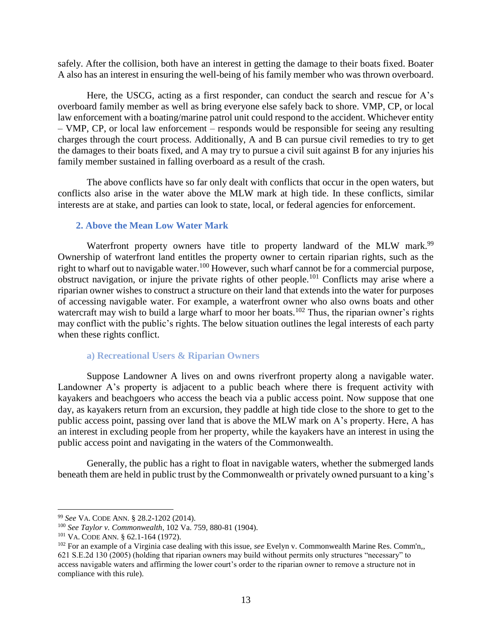safely. After the collision, both have an interest in getting the damage to their boats fixed. Boater A also has an interest in ensuring the well-being of his family member who was thrown overboard.

Here, the USCG, acting as a first responder, can conduct the search and rescue for A's overboard family member as well as bring everyone else safely back to shore. VMP, CP, or local law enforcement with a boating/marine patrol unit could respond to the accident. Whichever entity – VMP, CP, or local law enforcement – responds would be responsible for seeing any resulting charges through the court process. Additionally, A and B can pursue civil remedies to try to get the damages to their boats fixed, and A may try to pursue a civil suit against B for any injuries his family member sustained in falling overboard as a result of the crash.

The above conflicts have so far only dealt with conflicts that occur in the open waters, but conflicts also arise in the water above the MLW mark at high tide. In these conflicts, similar interests are at stake, and parties can look to state, local, or federal agencies for enforcement.

## **2. Above the Mean Low Water Mark**

Waterfront property owners have title to property landward of the MLW mark.<sup>99</sup> Ownership of waterfront land entitles the property owner to certain riparian rights, such as the right to wharf out to navigable water.<sup>100</sup> However, such wharf cannot be for a commercial purpose, obstruct navigation, or injure the private rights of other people.<sup>101</sup> Conflicts may arise where a riparian owner wishes to construct a structure on their land that extends into the water for purposes of accessing navigable water. For example, a waterfront owner who also owns boats and other watercraft may wish to build a large wharf to moor her boats.<sup>102</sup> Thus, the riparian owner's rights may conflict with the public's rights. The below situation outlines the legal interests of each party when these rights conflict.

#### **a) Recreational Users & Riparian Owners**

Suppose Landowner A lives on and owns riverfront property along a navigable water. Landowner A's property is adjacent to a public beach where there is frequent activity with kayakers and beachgoers who access the beach via a public access point. Now suppose that one day, as kayakers return from an excursion, they paddle at high tide close to the shore to get to the public access point, passing over land that is above the MLW mark on A's property. Here, A has an interest in excluding people from her property, while the kayakers have an interest in using the public access point and navigating in the waters of the Commonwealth.

Generally, the public has a right to float in navigable waters, whether the submerged lands beneath them are held in public trust by the Commonwealth or privately owned pursuant to a king's

<sup>99</sup> *See* VA. CODE ANN. § 28.2-1202 (2014).

<sup>100</sup> *See Taylor v. Commonwealth,* 102 Va. 759, 880-81 (1904).

<sup>101</sup> VA. CODE ANN. § 62.1-164 (1972).

<sup>102</sup> For an example of a Virginia case dealing with this issue, *see* Evelyn v. Commonwealth Marine Res. Comm'n,, 621 S.E.2d 130 (2005) (holding that riparian owners may build without permits only structures "necessary" to access navigable waters and affirming the lower court's order to the riparian owner to remove a structure not in compliance with this rule).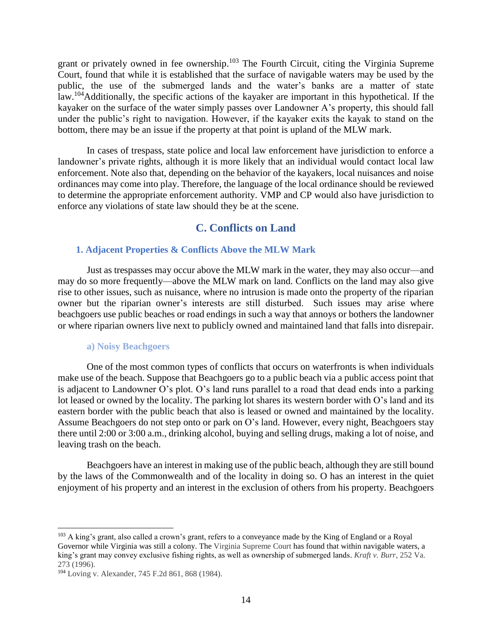grant or privately owned in fee ownership.<sup>103</sup> The Fourth Circuit, citing the Virginia Supreme Court, found that while it is established that the surface of navigable waters may be used by the public, the use of the submerged lands and the water's banks are a matter of state law.<sup>104</sup>Additionally, the specific actions of the kayaker are important in this hypothetical. If the kayaker on the surface of the water simply passes over Landowner A's property, this should fall under the public's right to navigation. However, if the kayaker exits the kayak to stand on the bottom, there may be an issue if the property at that point is upland of the MLW mark.

In cases of trespass, state police and local law enforcement have jurisdiction to enforce a landowner's private rights, although it is more likely that an individual would contact local law enforcement. Note also that, depending on the behavior of the kayakers, local nuisances and noise ordinances may come into play. Therefore, the language of the local ordinance should be reviewed to determine the appropriate enforcement authority. VMP and CP would also have jurisdiction to enforce any violations of state law should they be at the scene.

# **C. Conflicts on Land**

#### **1. Adjacent Properties & Conflicts Above the MLW Mark**

Just as trespasses may occur above the MLW mark in the water, they may also occur—and may do so more frequently—above the MLW mark on land. Conflicts on the land may also give rise to other issues, such as nuisance, where no intrusion is made onto the property of the riparian owner but the riparian owner's interests are still disturbed. Such issues may arise where beachgoers use public beaches or road endings in such a way that annoys or bothers the landowner or where riparian owners live next to publicly owned and maintained land that falls into disrepair.

#### **a) Noisy Beachgoers**

One of the most common types of conflicts that occurs on waterfronts is when individuals make use of the beach. Suppose that Beachgoers go to a public beach via a public access point that is adjacent to Landowner O's plot. O's land runs parallel to a road that dead ends into a parking lot leased or owned by the locality. The parking lot shares its western border with O's land and its eastern border with the public beach that also is leased or owned and maintained by the locality. Assume Beachgoers do not step onto or park on O's land. However, every night, Beachgoers stay there until 2:00 or 3:00 a.m., drinking alcohol, buying and selling drugs, making a lot of noise, and leaving trash on the beach.

Beachgoers have an interest in making use of the public beach, although they are still bound by the laws of the Commonwealth and of the locality in doing so. O has an interest in the quiet enjoyment of his property and an interest in the exclusion of others from his property. Beachgoers

<sup>&</sup>lt;sup>103</sup> A king's grant, also called a crown's grant, refers to a conveyance made by the King of England or a Royal Governor while Virginia was still a colony. The Virginia Supreme Court has found that within navigable waters, a king's grant may convey exclusive fishing rights, as well as ownership of submerged lands. *Kraft v. Burr*, 252 Va. 273 (1996).

<sup>104</sup> Loving v. Alexander, 745 F.2d 861, 868 (1984).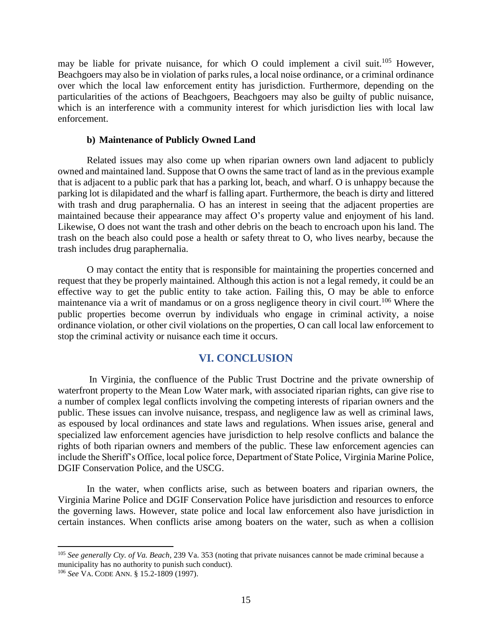may be liable for private nuisance, for which O could implement a civil suit.<sup>105</sup> However, Beachgoers may also be in violation of parks rules, a local noise ordinance, or a criminal ordinance over which the local law enforcement entity has jurisdiction. Furthermore, depending on the particularities of the actions of Beachgoers, Beachgoers may also be guilty of public nuisance, which is an interference with a community interest for which jurisdiction lies with local law enforcement.

#### **b) Maintenance of Publicly Owned Land**

Related issues may also come up when riparian owners own land adjacent to publicly owned and maintained land. Suppose that O owns the same tract of land as in the previous example that is adjacent to a public park that has a parking lot, beach, and wharf. O is unhappy because the parking lot is dilapidated and the wharf is falling apart. Furthermore, the beach is dirty and littered with trash and drug paraphernalia. O has an interest in seeing that the adjacent properties are maintained because their appearance may affect O's property value and enjoyment of his land. Likewise, O does not want the trash and other debris on the beach to encroach upon his land. The trash on the beach also could pose a health or safety threat to O, who lives nearby, because the trash includes drug paraphernalia.

O may contact the entity that is responsible for maintaining the properties concerned and request that they be properly maintained. Although this action is not a legal remedy, it could be an effective way to get the public entity to take action. Failing this, O may be able to enforce maintenance via a writ of mandamus or on a gross negligence theory in civil court.<sup>106</sup> Where the public properties become overrun by individuals who engage in criminal activity, a noise ordinance violation, or other civil violations on the properties, O can call local law enforcement to stop the criminal activity or nuisance each time it occurs.

## **VI. CONCLUSION**

In Virginia, the confluence of the Public Trust Doctrine and the private ownership of waterfront property to the Mean Low Water mark, with associated riparian rights, can give rise to a number of complex legal conflicts involving the competing interests of riparian owners and the public. These issues can involve nuisance, trespass, and negligence law as well as criminal laws, as espoused by local ordinances and state laws and regulations. When issues arise, general and specialized law enforcement agencies have jurisdiction to help resolve conflicts and balance the rights of both riparian owners and members of the public. These law enforcement agencies can include the Sheriff's Office, local police force, Department of State Police, Virginia Marine Police, DGIF Conservation Police, and the USCG.

In the water, when conflicts arise, such as between boaters and riparian owners, the Virginia Marine Police and DGIF Conservation Police have jurisdiction and resources to enforce the governing laws. However, state police and local law enforcement also have jurisdiction in certain instances. When conflicts arise among boaters on the water, such as when a collision

<sup>105</sup> *See generally Cty. of Va. Beach*, 239 Va. 353 (noting that private nuisances cannot be made criminal because a municipality has no authority to punish such conduct).

<sup>106</sup> *See* VA. CODE ANN. § 15.2-1809 (1997).